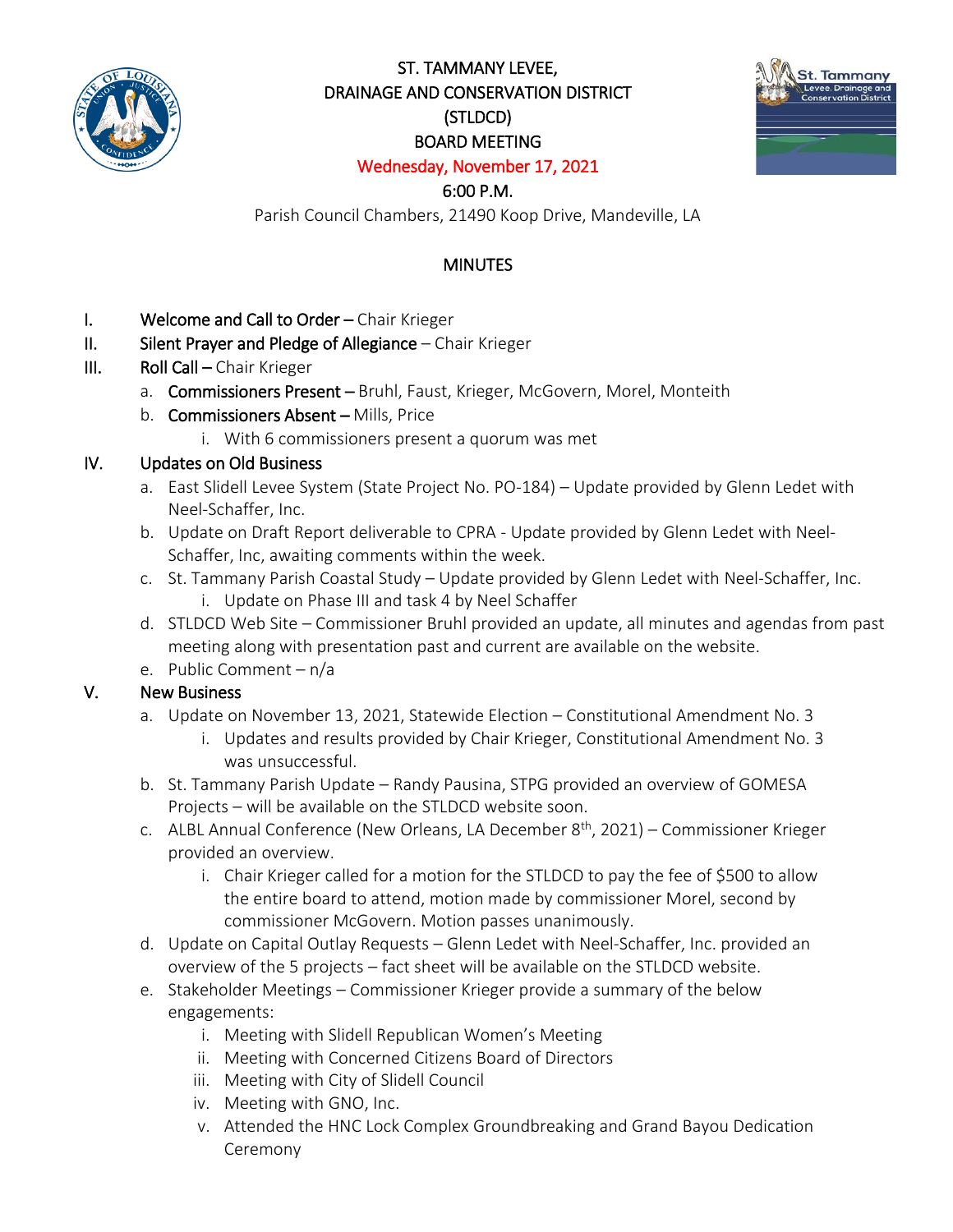

## ST. TAMMANY LEVEE, DRAINAGE AND CONSERVATION DISTRICT (STLDCD) BOARD MEETING Wednesday, November 17, 2021



# 6:00 P.M.

Parish Council Chambers, 21490 Koop Drive, Mandeville, LA

## **MINUTES**

- I. Welcome and Call to Order Chair Krieger
- II. Silent Prayer and Pledge of Allegiance Chair Krieger
- III. Roll Call Chair Krieger
	- a. Commissioners Present Bruhl, Faust, Krieger, McGovern, Morel, Monteith
	- b. Commissioners Absent Mills, Price
		- i. With 6 commissioners present a quorum was met

#### IV. Updates on Old Business

- a. East Slidell Levee System (State Project No. PO-184) Update provided by Glenn Ledet with Neel-Schaffer, Inc.
- b. Update on Draft Report deliverable to CPRA Update provided by Glenn Ledet with Neel-Schaffer, Inc, awaiting comments within the week.
- c. St. Tammany Parish Coastal Study Update provided by Glenn Ledet with Neel-Schaffer, Inc. i. Update on Phase III and task 4 by Neel Schaffer
- d. STLDCD Web Site Commissioner Bruhl provided an update, all minutes and agendas from past meeting along with presentation past and current are available on the website.
- e. Public Comment n/a

#### V. New Business

- a. Update on November 13, 2021, Statewide Election Constitutional Amendment No. 3
	- i. Updates and results provided by Chair Krieger, Constitutional Amendment No. 3 was unsuccessful.
- b. St. Tammany Parish Update Randy Pausina, STPG provided an overview of GOMESA Projects – will be available on the STLDCD website soon.
- c. ALBL Annual Conference (New Orleans, LA December  $8<sup>th</sup>$ , 2021) Commissioner Krieger provided an overview.
	- i. Chair Krieger called for a motion for the STLDCD to pay the fee of \$500 to allow the entire board to attend, motion made by commissioner Morel, second by commissioner McGovern. Motion passes unanimously.
- d. Update on Capital Outlay Requests Glenn Ledet with Neel-Schaffer, Inc. provided an overview of the 5 projects – fact sheet will be available on the STLDCD website.
- e. Stakeholder Meetings Commissioner Krieger provide a summary of the below engagements:
	- i. Meeting with Slidell Republican Women's Meeting
	- ii. Meeting with Concerned Citizens Board of Directors
	- iii. Meeting with City of Slidell Council
	- iv. Meeting with GNO, Inc.
	- v. Attended the HNC Lock Complex Groundbreaking and Grand Bayou Dedication Ceremony